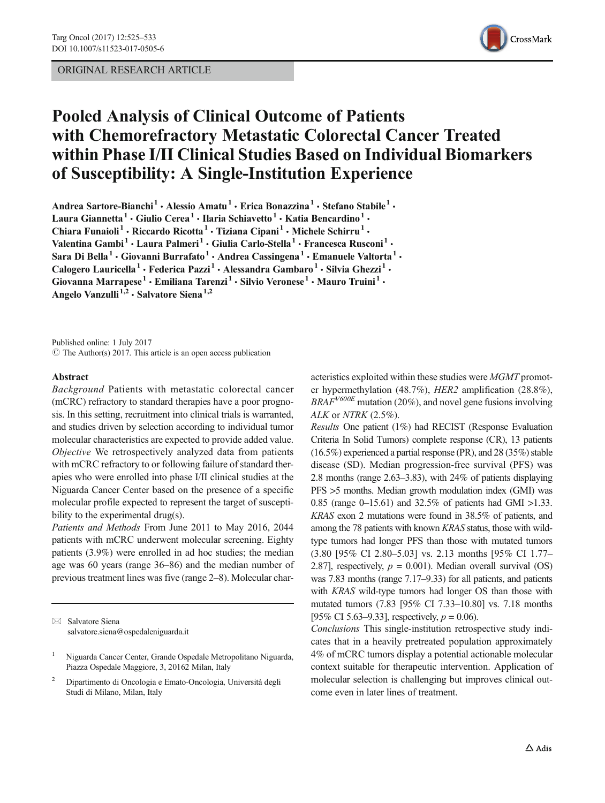### ORIGINAL RESEARCH ARTICLE



# Pooled Analysis of Clinical Outcome of Patients with Chemorefractory Metastatic Colorectal Cancer Treated within Phase I/II Clinical Studies Based on Individual Biomarkers of Susceptibility: A Single-Institution Experience

Andrea Sartore-Bianchi<sup>1</sup> • Alessio Amatu<sup>1</sup> • Erica Bonazzina<sup>1</sup> • Stefano Stabile<sup>1</sup> • Laura Giannetta<sup>1</sup> · Giulio Cerea<sup>1</sup> · Ilaria Schiavetto<sup>1</sup> · Katia Bencardino<sup>1</sup> · Chiara Funaioli<sup>1</sup> • Riccardo Ricotta<sup>1</sup> • Tiziana Cipani<sup>1</sup> • Michele Schirru<sup>1</sup> • Valentina Gambi<sup>1</sup> · Laura Palmeri<sup>1</sup> · Giulia Carlo-Stella<sup>1</sup> · Francesca Rusconi<sup>1</sup> · Sara Di Bella<sup>1</sup> • Giovanni Burrafato<sup>1</sup> • Andrea Cassingena<sup>1</sup> • Emanuele Valtorta<sup>1</sup> • Calogero Lauricella<sup>1</sup> · Federica Pazzi<sup>1</sup> · Alessandra Gambaro<sup>1</sup> · Silvia Ghezzi<sup>1</sup> · Giovanna Marrapese<sup>1</sup> · Emiliana Tarenzi<sup>1</sup> · Silvio Veronese<sup>1</sup> · Mauro Truini<sup>1</sup> · Angelo Vanzulli<sup>1,2</sup> · Salvatore Siena<sup>1,2</sup>

Published online: 1 July 2017  $\circ$  The Author(s) 2017. This article is an open access publication

#### Abstract

Background Patients with metastatic colorectal cancer (mCRC) refractory to standard therapies have a poor prognosis. In this setting, recruitment into clinical trials is warranted, and studies driven by selection according to individual tumor molecular characteristics are expected to provide added value. Objective We retrospectively analyzed data from patients with mCRC refractory to or following failure of standard therapies who were enrolled into phase I/II clinical studies at the Niguarda Cancer Center based on the presence of a specific molecular profile expected to represent the target of susceptibility to the experimental drug(s).

Patients and Methods From June 2011 to May 2016, 2044 patients with mCRC underwent molecular screening. Eighty patients (3.9%) were enrolled in ad hoc studies; the median age was 60 years (range 36–86) and the median number of previous treatment lines was five (range 2–8). Molecular char-

 $\boxtimes$  Salvatore Siena [salvatore.siena@ospedaleniguarda.it](mailto:salvatore.siena@ospedaleniguarda.it) acteristics exploited within these studies were MGMT promoter hypermethylation (48.7%), HER2 amplification (28.8%),  $BRAF^{V600E}$  mutation (20%), and novel gene fusions involving ALK or NTRK (2.5%).

Results One patient (1%) had RECIST (Response Evaluation Criteria In Solid Tumors) complete response (CR), 13 patients (16.5%) experienced a partial response (PR), and 28 (35%) stable disease (SD). Median progression-free survival (PFS) was 2.8 months (range 2.63–3.83), with 24% of patients displaying PFS >5 months. Median growth modulation index (GMI) was 0.85 (range 0–15.61) and 32.5% of patients had GMI >1.33. KRAS exon 2 mutations were found in 38.5% of patients, and among the 78 patients with known KRAS status, those with wildtype tumors had longer PFS than those with mutated tumors (3.80 [95% CI 2.80–5.03] vs. 2.13 months [95% CI 1.77– 2.87], respectively,  $p = 0.001$ ). Median overall survival (OS) was 7.83 months (range 7.17–9.33) for all patients, and patients with KRAS wild-type tumors had longer OS than those with mutated tumors (7.83 [95% CI 7.33–10.80] vs. 7.18 months [95% CI 5.63–9.33], respectively,  $p = 0.06$ ).

Conclusions This single-institution retrospective study indicates that in a heavily pretreated population approximately 4% of mCRC tumors display a potential actionable molecular context suitable for therapeutic intervention. Application of molecular selection is challenging but improves clinical outcome even in later lines of treatment.

<sup>1</sup> Niguarda Cancer Center, Grande Ospedale Metropolitano Niguarda, Piazza Ospedale Maggiore, 3, 20162 Milan, Italy

<sup>2</sup> Dipartimento di Oncologia e Emato-Oncologia, Università degli Studi di Milano, Milan, Italy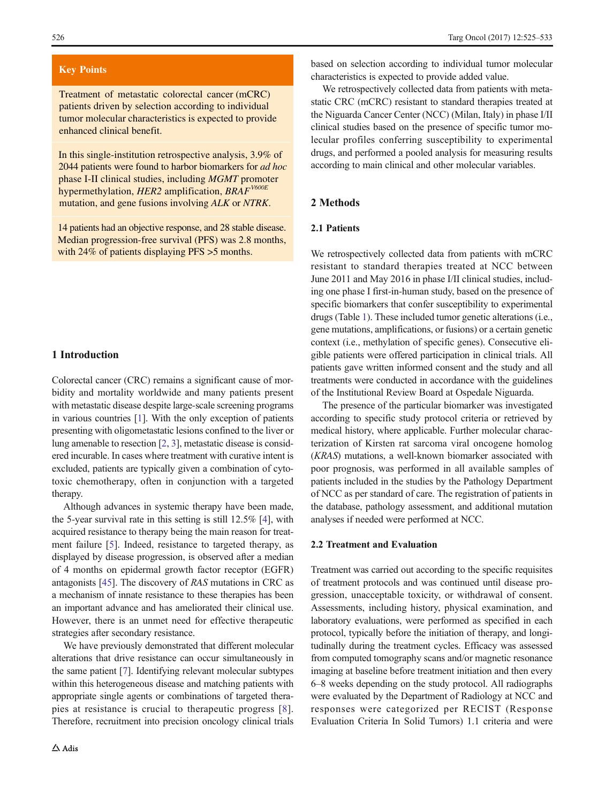#### **Key Points**

Treatment of metastatic colorectal cancer (mCRC) patients driven by selection according to individual tumor molecular characteristics is expected to provide enhanced clinical benefit.

In this single-institution retrospective analysis, 3.9% of 2044 patients were found to harbor biomarkers for *ad hoc* phase I-II clinical studies, including *MGMT* promoter hypermethylation, *HER2* amplification, *BRAFV600E* mutation, and gene fusions involving *ALK* or *NTRK*.

14 patients had an objective response, and 28 stable disease. Median progression-free survival (PFS) was 2.8 months, with 24% of patients displaying PFS  $>$ 5 months.

## 1 Introduction

Colorectal cancer (CRC) remains a significant cause of morbidity and mortality worldwide and many patients present with metastatic disease despite large-scale screening programs in various countries [\[1](#page-6-0)]. With the only exception of patients presenting with oligometastatic lesions confined to the liver or lung amenable to resection [\[2](#page-6-0), [3\]](#page-6-0), metastatic disease is considered incurable. In cases where treatment with curative intent is excluded, patients are typically given a combination of cytotoxic chemotherapy, often in conjunction with a targeted therapy.

Although advances in systemic therapy have been made, the 5-year survival rate in this setting is still 12.5% [\[4](#page-6-0)], with acquired resistance to therapy being the main reason for treatment failure [\[5](#page-6-0)]. Indeed, resistance to targeted therapy, as displayed by disease progression, is observed after a median of 4 months on epidermal growth factor receptor (EGFR) antagonists [\[45](#page-8-0)]. The discovery of RAS mutations in CRC as a mechanism of innate resistance to these therapies has been an important advance and has ameliorated their clinical use. However, there is an unmet need for effective therapeutic strategies after secondary resistance.

We have previously demonstrated that different molecular alterations that drive resistance can occur simultaneously in the same patient [[7\]](#page-7-0). Identifying relevant molecular subtypes within this heterogeneous disease and matching patients with appropriate single agents or combinations of targeted therapies at resistance is crucial to therapeutic progress [[8](#page-7-0)]. Therefore, recruitment into precision oncology clinical trials

based on selection according to individual tumor molecular characteristics is expected to provide added value.

We retrospectively collected data from patients with metastatic CRC (mCRC) resistant to standard therapies treated at the Niguarda Cancer Center (NCC) (Milan, Italy) in phase I/II clinical studies based on the presence of specific tumor molecular profiles conferring susceptibility to experimental drugs, and performed a pooled analysis for measuring results according to main clinical and other molecular variables.

#### 2 Methods

## 2.1 Patients

We retrospectively collected data from patients with mCRC resistant to standard therapies treated at NCC between June 2011 and May 2016 in phase I/II clinical studies, including one phase I first-in-human study, based on the presence of specific biomarkers that confer susceptibility to experimental drugs (Table [1](#page-2-0)). These included tumor genetic alterations (i.e., gene mutations, amplifications, or fusions) or a certain genetic context (i.e., methylation of specific genes). Consecutive eligible patients were offered participation in clinical trials. All patients gave written informed consent and the study and all treatments were conducted in accordance with the guidelines of the Institutional Review Board at Ospedale Niguarda.

The presence of the particular biomarker was investigated according to specific study protocol criteria or retrieved by medical history, where applicable. Further molecular characterization of Kirsten rat sarcoma viral oncogene homolog (KRAS) mutations, a well-known biomarker associated with poor prognosis, was performed in all available samples of patients included in the studies by the Pathology Department of NCC as per standard of care. The registration of patients in the database, pathology assessment, and additional mutation analyses if needed were performed at NCC.

#### 2.2 Treatment and Evaluation

Treatment was carried out according to the specific requisites of treatment protocols and was continued until disease progression, unacceptable toxicity, or withdrawal of consent. Assessments, including history, physical examination, and laboratory evaluations, were performed as specified in each protocol, typically before the initiation of therapy, and longitudinally during the treatment cycles. Efficacy was assessed from computed tomography scans and/or magnetic resonance imaging at baseline before treatment initiation and then every 6–8 weeks depending on the study protocol. All radiographs were evaluated by the Department of Radiology at NCC and responses were categorized per RECIST (Response Evaluation Criteria In Solid Tumors) 1.1 criteria and were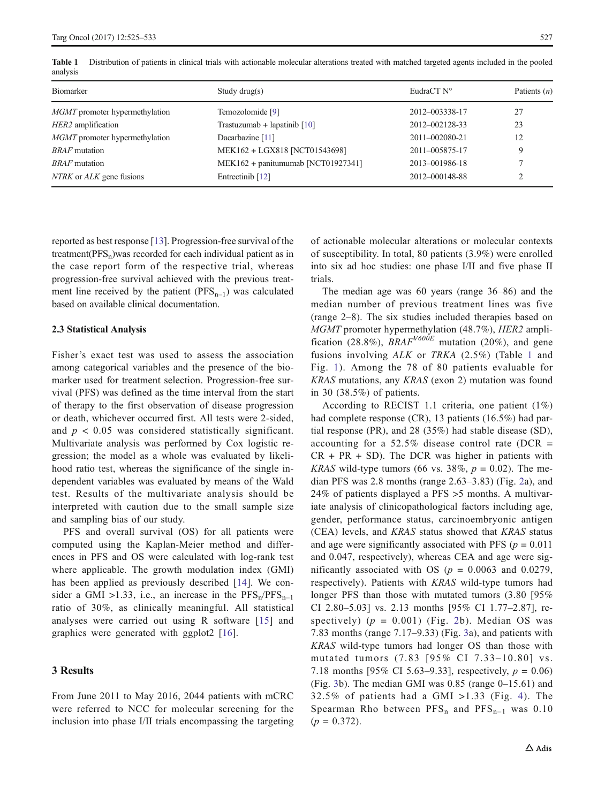| $\frac{1}{2}$                         |                                    |                |                |
|---------------------------------------|------------------------------------|----------------|----------------|
| Biomarker                             | Study drug(s)                      | EudraCT N°     | Patients $(n)$ |
| <i>MGMT</i> promoter hypermethylation | Temozolomide [9]                   | 2012-003338-17 | 27             |
| HER2 amplification                    | Trastuzumab + lapatinib $[10]$     | 2012-002128-33 | 23             |
| <i>MGMT</i> promoter hypermethylation | Dacarbazine [11]                   | 2011-002080-21 | 12             |
| <i>BRAF</i> mutation                  | MEK162 + LGX818 [NCT01543698]      | 2011-005875-17 | 9              |
| <i>BRAF</i> mutation                  | MEK162 + panitumumab [NCT01927341] | 2013-001986-18 | 7              |
| NTRK or ALK gene fusions              | Entrectinib [12]                   | 2012-000148-88 | $\mathcal{D}$  |

<span id="page-2-0"></span>Table 1 Distribution of patients in clinical trials with actionable molecular alterations treated with matched targeted agents included in the pooled analysis

reported as best response [\[13](#page-7-0)]. Progression-free survival of the treatment( $PFS_n$ )was recorded for each individual patient as in the case report form of the respective trial, whereas progression-free survival achieved with the previous treatment line received by the patient  $(PFS_{n-1})$  was calculated based on available clinical documentation.

#### 2.3 Statistical Analysis

Fisher's exact test was used to assess the association among categorical variables and the presence of the biomarker used for treatment selection. Progression-free survival (PFS) was defined as the time interval from the start of therapy to the first observation of disease progression or death, whichever occurred first. All tests were 2-sided, and  $p < 0.05$  was considered statistically significant. Multivariate analysis was performed by Cox logistic regression; the model as a whole was evaluated by likelihood ratio test, whereas the significance of the single independent variables was evaluated by means of the Wald test. Results of the multivariate analysis should be interpreted with caution due to the small sample size and sampling bias of our study.

PFS and overall survival (OS) for all patients were computed using the Kaplan-Meier method and differences in PFS and OS were calculated with log-rank test where applicable. The growth modulation index (GMI) has been applied as previously described [\[14](#page-7-0)]. We consider a GMI >1.33, i.e., an increase in the  $PFS_n/PFS_{n-1}$ ratio of 30%, as clinically meaningful. All statistical analyses were carried out using R software [[15](#page-7-0)] and graphics were generated with ggplot2 [[16](#page-7-0)].

## 3 Results

From June 2011 to May 2016, 2044 patients with mCRC were referred to NCC for molecular screening for the inclusion into phase I/II trials encompassing the targeting of actionable molecular alterations or molecular contexts of susceptibility. In total, 80 patients (3.9%) were enrolled into six ad hoc studies: one phase I/II and five phase II trials.

The median age was 60 years (range 36–86) and the median number of previous treatment lines was five (range 2–8). The six studies included therapies based on MGMT promoter hypermethylation (48.7%), HER2 amplification (28.8%),  $BRAF<sup>V600E</sup>$  mutation (20%), and gene fusions involving ALK or TRKA (2.5%) (Table 1 and Fig. [1\)](#page-3-0). Among the 78 of 80 patients evaluable for KRAS mutations, any KRAS (exon 2) mutation was found in 30 (38.5%) of patients.

According to RECIST 1.1 criteria, one patient (1%) had complete response (CR), 13 patients (16.5%) had partial response (PR), and 28 (35%) had stable disease (SD), accounting for a 52.5% disease control rate (DCR  $=$  $CR + PR + SD$ . The DCR was higher in patients with KRAS wild-type tumors (66 vs. 38%,  $p = 0.02$ ). The median PFS was 2.8 months (range 2.63–3.83) (Fig. [2](#page-4-0)a), and 24% of patients displayed a PFS >5 months. A multivariate analysis of clinicopathological factors including age, gender, performance status, carcinoembryonic antigen (CEA) levels, and KRAS status showed that KRAS status and age were significantly associated with PFS ( $p = 0.011$ ) and 0.047, respectively), whereas CEA and age were significantly associated with OS ( $p = 0.0063$  and 0.0279, respectively). Patients with KRAS wild-type tumors had longer PFS than those with mutated tumors (3.80 [95% CI 2.80–5.03] vs. 2.13 months [95% CI 1.77–2.87], respectively)  $(p = 0.001)$  (Fig. [2b](#page-4-0)). Median OS was 7.83 months (range 7.17–9.33) (Fig. [3a](#page-5-0)), and patients with KRAS wild-type tumors had longer OS than those with mutated tumors (7.83 [95% CI 7.33–10.80] vs. 7.18 months [95% CI 5.63–9.33], respectively,  $p = 0.06$ ) (Fig. [3b](#page-5-0)). The median GMI was  $0.85$  (range  $0-15.61$ ) and 32.5% of patients had a GMI >1.33 (Fig. [4\)](#page-6-0). The Spearman Rho between  $PFS_n$  and  $PFS_{n-1}$  was 0.10  $(p = 0.372)$ .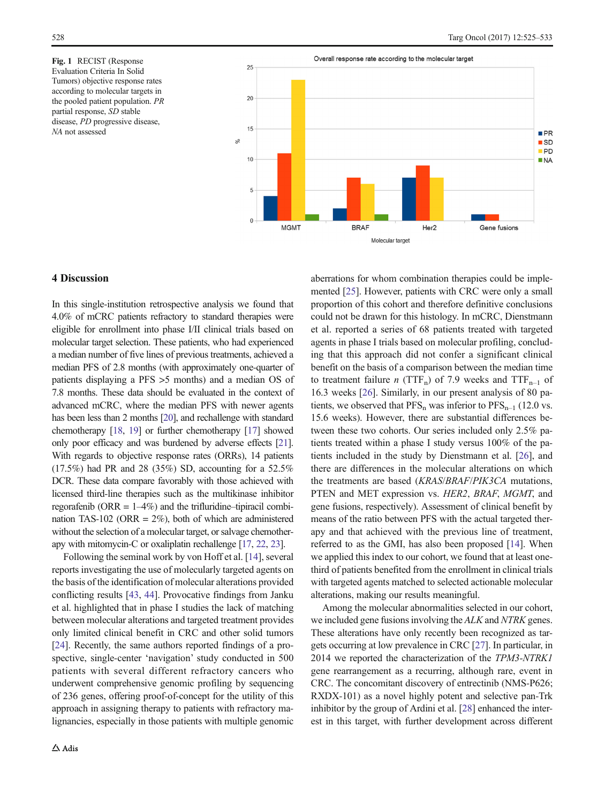<span id="page-3-0"></span>Fig. 1 RECIST (Response Evaluation Criteria In Solid Tumors) objective response rates according to molecular targets in the pooled patient population. PR partial response, SD stable disease, PD progressive disease, NA not assessed



## 4 Discussion

In this single-institution retrospective analysis we found that 4.0% of mCRC patients refractory to standard therapies were eligible for enrollment into phase I/II clinical trials based on molecular target selection. These patients, who had experienced a median number of five lines of previous treatments, achieved a median PFS of 2.8 months (with approximately one-quarter of patients displaying a PFS >5 months) and a median OS of 7.8 months. These data should be evaluated in the context of advanced mCRC, where the median PFS with newer agents has been less than 2 months [\[20](#page-7-0)], and rechallenge with standard chemotherapy [\[18,](#page-7-0) [19](#page-7-0)] or further chemotherapy [[17](#page-7-0)] showed only poor efficacy and was burdened by adverse effects [\[21\]](#page-7-0). With regards to objective response rates (ORRs), 14 patients (17.5%) had PR and 28 (35%) SD, accounting for a 52.5% DCR. These data compare favorably with those achieved with licensed third-line therapies such as the multikinase inhibitor regorafenib (ORR  $= 1-4\%$ ) and the trifluridine–tipiracil combination TAS-102 (ORR =  $2\%$ ), both of which are administered without the selection of a molecular target, or salvage chemotherapy with mitomycin-C or oxaliplatin rechallenge [\[17](#page-7-0), [22,](#page-7-0) [23\]](#page-7-0).

Following the seminal work by von Hoff et al. [\[14](#page-7-0)], several reports investigating the use of molecularly targeted agents on the basis of the identification of molecular alterations provided conflicting results [\[43,](#page-8-0) [44\]](#page-8-0). Provocative findings from Janku et al. highlighted that in phase I studies the lack of matching between molecular alterations and targeted treatment provides only limited clinical benefit in CRC and other solid tumors [\[24\]](#page-7-0). Recently, the same authors reported findings of a prospective, single-center 'navigation' study conducted in 500 patients with several different refractory cancers who underwent comprehensive genomic profiling by sequencing of 236 genes, offering proof-of-concept for the utility of this approach in assigning therapy to patients with refractory malignancies, especially in those patients with multiple genomic aberrations for whom combination therapies could be implemented [[25](#page-7-0)]. However, patients with CRC were only a small proportion of this cohort and therefore definitive conclusions could not be drawn for this histology. In mCRC, Dienstmann et al. reported a series of 68 patients treated with targeted agents in phase I trials based on molecular profiling, concluding that this approach did not confer a significant clinical benefit on the basis of a comparison between the median time to treatment failure *n* (TTF<sub>n</sub>) of 7.9 weeks and TTF<sub>n-1</sub> of 16.3 weeks [[26\]](#page-7-0). Similarly, in our present analysis of 80 patients, we observed that  $PFS_n$  was inferior to  $PFS_{n-1}$  (12.0 vs. 15.6 weeks). However, there are substantial differences between these two cohorts. Our series included only 2.5% patients treated within a phase I study versus 100% of the patients included in the study by Dienstmann et al. [[26\]](#page-7-0), and there are differences in the molecular alterations on which the treatments are based (KRAS/BRAF/PIK3CA mutations, PTEN and MET expression vs. HER2, BRAF, MGMT, and gene fusions, respectively). Assessment of clinical benefit by means of the ratio between PFS with the actual targeted therapy and that achieved with the previous line of treatment, referred to as the GMI, has also been proposed [\[14\]](#page-7-0). When we applied this index to our cohort, we found that at least onethird of patients benefited from the enrollment in clinical trials with targeted agents matched to selected actionable molecular alterations, making our results meaningful.

Among the molecular abnormalities selected in our cohort, we included gene fusions involving the ALK and NTRK genes. These alterations have only recently been recognized as targets occurring at low prevalence in CRC [[27\]](#page-7-0). In particular, in 2014 we reported the characterization of the TPM3-NTRK1 gene rearrangement as a recurring, although rare, event in CRC. The concomitant discovery of entrectinib (NMS-P626; RXDX-101) as a novel highly potent and selective pan-Trk inhibitor by the group of Ardini et al. [\[28\]](#page-7-0) enhanced the interest in this target, with further development across different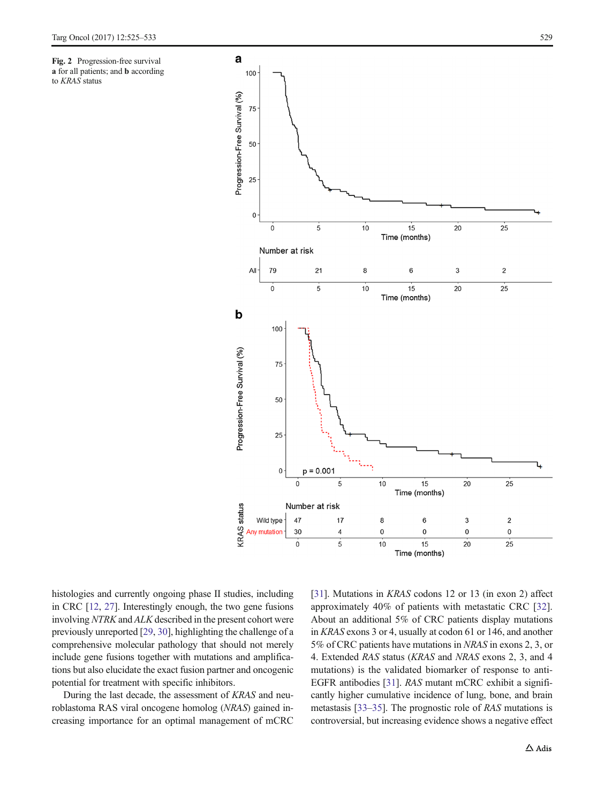<span id="page-4-0"></span>Fig. 2 Progression-free survival a for all patients; and b according to KRAS status



histologies and currently ongoing phase II studies, including in CRC [[12](#page-7-0), [27\]](#page-7-0). Interestingly enough, the two gene fusions involving NTRK and ALK described in the present cohort were previously unreported [\[29,](#page-7-0) [30\]](#page-7-0), highlighting the challenge of a comprehensive molecular pathology that should not merely include gene fusions together with mutations and amplifications but also elucidate the exact fusion partner and oncogenic potential for treatment with specific inhibitors.

During the last decade, the assessment of KRAS and neuroblastoma RAS viral oncogene homolog (NRAS) gained increasing importance for an optimal management of mCRC [\[31](#page-7-0)]. Mutations in *KRAS* codons 12 or 13 (in exon 2) affect approximately 40% of patients with metastatic CRC [\[32\]](#page-7-0). About an additional 5% of CRC patients display mutations in KRAS exons 3 or 4, usually at codon 61 or 146, and another 5% of CRC patients have mutations in NRAS in exons 2, 3, or 4. Extended RAS status (KRAS and NRAS exons 2, 3, and 4 mutations) is the validated biomarker of response to anti-EGFR antibodies [\[31](#page-7-0)]. RAS mutant mCRC exhibit a significantly higher cumulative incidence of lung, bone, and brain metastasis [[33](#page-7-0)–[35](#page-7-0)]. The prognostic role of RAS mutations is controversial, but increasing evidence shows a negative effect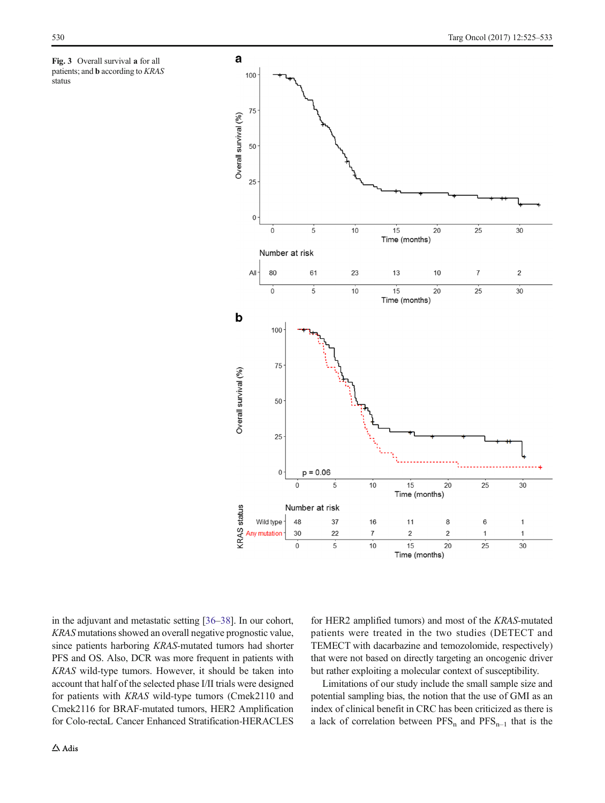<span id="page-5-0"></span>



in the adjuvant and metastatic setting [\[36](#page-7-0)–[38\]](#page-7-0). In our cohort, KRAS mutations showed an overall negative prognostic value, since patients harboring KRAS-mutated tumors had shorter PFS and OS. Also, DCR was more frequent in patients with KRAS wild-type tumors. However, it should be taken into account that half of the selected phase I/II trials were designed for patients with KRAS wild-type tumors (Cmek2110 and Cmek2116 for BRAF-mutated tumors, HER2 Amplification for Colo-rectaL Cancer Enhanced Stratification-HERACLES for HER2 amplified tumors) and most of the KRAS-mutated patients were treated in the two studies (DETECT and TEMECT with dacarbazine and temozolomide, respectively) that were not based on directly targeting an oncogenic driver but rather exploiting a molecular context of susceptibility.

Limitations of our study include the small sample size and potential sampling bias, the notion that the use of GMI as an index of clinical benefit in CRC has been criticized as there is a lack of correlation between  $PFS_n$  and  $PFS_{n-1}$  that is the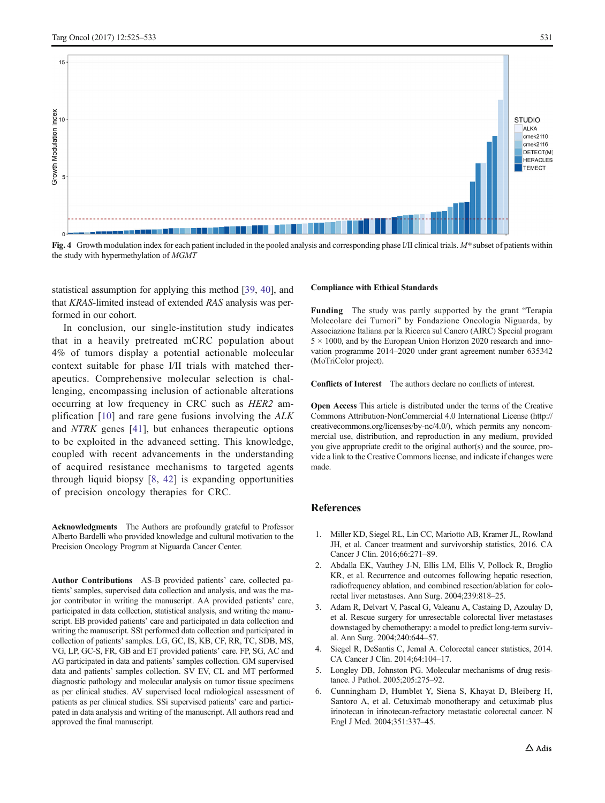<span id="page-6-0"></span>

Fig. 4 Growth modulation index for each patient included in the pooled analysis and corresponding phase I/II clinical trials.  $M^*$  subset of patients within the study with hypermethylation of MGMT

statistical assumption for applying this method [\[39,](#page-7-0) [40](#page-7-0)], and that KRAS-limited instead of extended RAS analysis was performed in our cohort.

In conclusion, our single-institution study indicates that in a heavily pretreated mCRC population about 4% of tumors display a potential actionable molecular context suitable for phase I/II trials with matched therapeutics. Comprehensive molecular selection is challenging, encompassing inclusion of actionable alterations occurring at low frequency in CRC such as HER2 amplification [[10](#page-7-0)] and rare gene fusions involving the ALK and NTRK genes [[41\]](#page-8-0), but enhances therapeutic options to be exploited in the advanced setting. This knowledge, coupled with recent advancements in the understanding of acquired resistance mechanisms to targeted agents through liquid biopsy [[8](#page-7-0), [42](#page-8-0)] is expanding opportunities of precision oncology therapies for CRC.

Acknowledgments The Authors are profoundly grateful to Professor Alberto Bardelli who provided knowledge and cultural motivation to the Precision Oncology Program at Niguarda Cancer Center.

Author Contributions AS-B provided patients' care, collected patients' samples, supervised data collection and analysis, and was the major contributor in writing the manuscript. AA provided patients' care, participated in data collection, statistical analysis, and writing the manuscript. EB provided patients' care and participated in data collection and writing the manuscript. SSt performed data collection and participated in collection of patients'samples. LG, GC, IS, KB, CF, RR, TC, SDB, MS, VG, LP, GC-S, FR, GB and ET provided patients' care. FP, SG, AC and AG participated in data and patients' samples collection. GM supervised data and patients' samples collection. SV EV, CL and MT performed diagnostic pathology and molecular analysis on tumor tissue specimens as per clinical studies. AV supervised local radiological assessment of patients as per clinical studies. SSi supervised patients' care and participated in data analysis and writing of the manuscript. All authors read and approved the final manuscript.

#### Compliance with Ethical Standards

Funding The study was partly supported by the grant "Terapia Molecolare dei Tumori^ by Fondazione Oncologia Niguarda, by Associazione Italiana per la Ricerca sul Cancro (AIRC) Special program  $5 \times 1000$ , and by the European Union Horizon 2020 research and innovation programme 2014–2020 under grant agreement number 635342 (MoTriColor project).

Conflicts of Interest The authors declare no conflicts of interest.

Open Access This article is distributed under the terms of the Creative Commons Attribution-NonCommercial 4.0 International License (http:// creativecommons.org/licenses/by-nc/4.0/), which permits any noncommercial use, distribution, and reproduction in any medium, provided you give appropriate credit to the original author(s) and the source, provide a link to the Creative Commons license, and indicate if changes were made.

#### **References**

- 1. Miller KD, Siegel RL, Lin CC, Mariotto AB, Kramer JL, Rowland JH, et al. Cancer treatment and survivorship statistics, 2016. CA Cancer J Clin. 2016;66:271–89.
- 2. Abdalla EK, Vauthey J-N, Ellis LM, Ellis V, Pollock R, Broglio KR, et al. Recurrence and outcomes following hepatic resection, radiofrequency ablation, and combined resection/ablation for colorectal liver metastases. Ann Surg. 2004;239:818–25.
- 3. Adam R, Delvart V, Pascal G, Valeanu A, Castaing D, Azoulay D, et al. Rescue surgery for unresectable colorectal liver metastases downstaged by chemotherapy: a model to predict long-term survival. Ann Surg. 2004;240:644–57.
- 4. Siegel R, DeSantis C, Jemal A. Colorectal cancer statistics, 2014. CA Cancer J Clin. 2014;64:104–17.
- 5. Longley DB, Johnston PG. Molecular mechanisms of drug resistance. J Pathol. 2005;205:275–92.
- 6. Cunningham D, Humblet Y, Siena S, Khayat D, Bleiberg H, Santoro A, et al. Cetuximab monotherapy and cetuximab plus irinotecan in irinotecan-refractory metastatic colorectal cancer. N Engl J Med. 2004;351:337–45.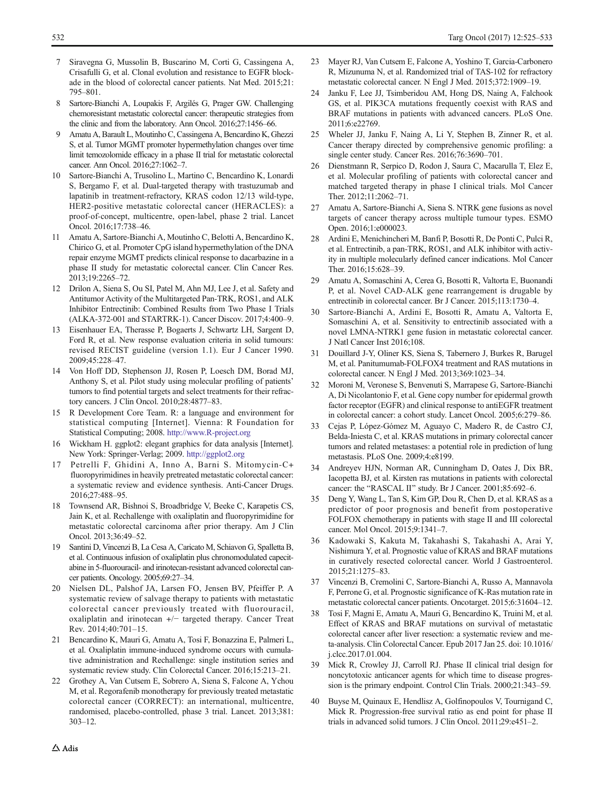- <span id="page-7-0"></span>7 Siravegna G, Mussolin B, Buscarino M, Corti G, Cassingena A, Crisafulli G, et al. Clonal evolution and resistance to EGFR blockade in the blood of colorectal cancer patients. Nat Med. 2015;21: 795–801.
- 8 Sartore-Bianchi A, Loupakis F, Argilés G, Prager GW. Challenging chemoresistant metastatic colorectal cancer: therapeutic strategies from the clinic and from the laboratory. Ann Oncol. 2016;27:1456–66.
- 9 Amatu A, Barault L, Moutinho C, Cassingena A, Bencardino K, Ghezzi S, et al. Tumor MGMT promoter hypermethylation changes over time limit temozolomide efficacy in a phase II trial for metastatic colorectal cancer. Ann Oncol. 2016;27:1062–7.
- 10 Sartore-Bianchi A, Trusolino L, Martino C, Bencardino K, Lonardi S, Bergamo F, et al. Dual-targeted therapy with trastuzumab and lapatinib in treatment-refractory, KRAS codon 12/13 wild-type, HER2-positive metastatic colorectal cancer (HERACLES): a proof-of-concept, multicentre, open-label, phase 2 trial. Lancet Oncol. 2016;17:738–46.
- 11 Amatu A, Sartore-Bianchi A, Moutinho C, Belotti A, Bencardino K, Chirico G, et al. Promoter CpG island hypermethylation of the DNA repair enzyme MGMT predicts clinical response to dacarbazine in a phase II study for metastatic colorectal cancer. Clin Cancer Res. 2013;19:2265–72.
- 12 Drilon A, Siena S, Ou SI, Patel M, Ahn MJ, Lee J, et al. Safety and Antitumor Activity of the Multitargeted Pan-TRK, ROS1, and ALK Inhibitor Entrectinib: Combined Results from Two Phase I Trials (ALKA-372-001 and STARTRK-1). Cancer Discov. 2017;4:400–9.
- 13 Eisenhauer EA, Therasse P, Bogaerts J, Schwartz LH, Sargent D, Ford R, et al. New response evaluation criteria in solid tumours: revised RECIST guideline (version 1.1). Eur J Cancer 1990. 2009;45:228–47.
- 14 Von Hoff DD, Stephenson JJ, Rosen P, Loesch DM, Borad MJ, Anthony S, et al. Pilot study using molecular profiling of patients' tumors to find potential targets and select treatments for their refractory cancers. J Clin Oncol. 2010;28:4877–83.
- 15 R Development Core Team. R: a language and environment for statistical computing [Internet]. Vienna: R Foundation for Statistical Computing; 2008. [http://www.R-project.org](http://www.r-project.org)
- Wickham H. ggplot2: elegant graphics for data analysis [Internet]. New York: Springer-Verlag; 2009. <http://ggplot2.org>
- 17 Petrelli F, Ghidini A, Inno A, Barni S. Mitomycin-C+ fluoropyrimidines in heavily pretreated metastatic colorectal cancer: a systematic review and evidence synthesis. Anti-Cancer Drugs. 2016;27:488–95.
- 18 Townsend AR, Bishnoi S, Broadbridge V, Beeke C, Karapetis CS, Jain K, et al. Rechallenge with oxaliplatin and fluoropyrimidine for metastatic colorectal carcinoma after prior therapy. Am J Clin Oncol. 2013;36:49–52.
- 19 Santini D, Vincenzi B, La Cesa A, Caricato M, Schiavon G, Spalletta B, et al. Continuous infusion of oxaliplatin plus chronomodulated capecitabine in 5-fluorouracil- and irinotecan-resistant advanced colorectal cancer patients. Oncology. 2005;69:27–34.
- 20 Nielsen DL, Palshof JA, Larsen FO, Jensen BV, Pfeiffer P. A systematic review of salvage therapy to patients with metastatic colorectal cancer previously treated with fluorouracil, oxaliplatin and irinotecan +/− targeted therapy. Cancer Treat Rev. 2014;40:701–15.
- 21 Bencardino K, Mauri G, Amatu A, Tosi F, Bonazzina E, Palmeri L, et al. Oxaliplatin immune-induced syndrome occurs with cumulative administration and Rechallenge: single institution series and systematic review study. Clin Colorectal Cancer. 2016;15:213–21.
- 22 Grothey A, Van Cutsem E, Sobrero A, Siena S, Falcone A, Ychou M, et al. Regorafenib monotherapy for previously treated metastatic colorectal cancer (CORRECT): an international, multicentre, randomised, placebo-controlled, phase 3 trial. Lancet. 2013;381: 303–12.
- 23 Mayer RJ, Van Cutsem E, Falcone A, Yoshino T, Garcia-Carbonero R, Mizunuma N, et al. Randomized trial of TAS-102 for refractory metastatic colorectal cancer. N Engl J Med. 2015;372:1909–19.
- 24 Janku F, Lee JJ, Tsimberidou AM, Hong DS, Naing A, Falchook GS, et al. PIK3CA mutations frequently coexist with RAS and BRAF mutations in patients with advanced cancers. PLoS One. 2011;6:e22769.
- 25 Wheler JJ, Janku F, Naing A, Li Y, Stephen B, Zinner R, et al. Cancer therapy directed by comprehensive genomic profiling: a single center study. Cancer Res. 2016;76:3690–701.
- 26 Dienstmann R, Serpico D, Rodon J, Saura C, Macarulla T, Elez E, et al. Molecular profiling of patients with colorectal cancer and matched targeted therapy in phase I clinical trials. Mol Cancer Ther. 2012;11:2062–71.
- 27 Amatu A, Sartore-Bianchi A, Siena S. NTRK gene fusions as novel targets of cancer therapy across multiple tumour types. ESMO Open. 2016;1:e000023.
- 28 Ardini E, Menichincheri M, Banfi P, Bosotti R, De Ponti C, Pulci R, et al. Entrectinib, a pan-TRK, ROS1, and ALK inhibitor with activity in multiple molecularly defined cancer indications. Mol Cancer Ther. 2016;15:628–39.
- 29 Amatu A, Somaschini A, Cerea G, Bosotti R, Valtorta E, Buonandi P, et al. Novel CAD-ALK gene rearrangement is drugable by entrectinib in colorectal cancer. Br J Cancer. 2015;113:1730–4.
- 30 Sartore-Bianchi A, Ardini E, Bosotti R, Amatu A, Valtorta E, Somaschini A, et al. Sensitivity to entrectinib associated with a novel LMNA-NTRK1 gene fusion in metastatic colorectal cancer. J Natl Cancer Inst 2016;108.
- 31 Douillard J-Y, Oliner KS, Siena S, Tabernero J, Burkes R, Barugel M, et al. Panitumumab-FOLFOX4 treatment and RAS mutations in colorectal cancer. N Engl J Med. 2013;369:1023–34.
- 32 Moroni M, Veronese S, Benvenuti S, Marrapese G, Sartore-Bianchi A, Di Nicolantonio F, et al. Gene copy number for epidermal growth factor receptor (EGFR) and clinical response to antiEGFR treatment in colorectal cancer: a cohort study. Lancet Oncol. 2005;6:279–86.
- 33 Cejas P, López-Gómez M, Aguayo C, Madero R, de Castro CJ, Belda-Iniesta C, et al. KRAS mutations in primary colorectal cancer tumors and related metastases: a potential role in prediction of lung metastasis. PLoS One. 2009;4:e8199.
- 34 Andreyev HJN, Norman AR, Cunningham D, Oates J, Dix BR, Iacopetta BJ, et al. Kirsten ras mutations in patients with colorectal cancer: the "RASCAL II" study. Br J Cancer. 2001;85:692-6.
- 35 Deng Y, Wang L, Tan S, Kim GP, Dou R, Chen D, et al. KRAS as a predictor of poor prognosis and benefit from postoperative FOLFOX chemotherapy in patients with stage II and III colorectal cancer. Mol Oncol. 2015;9:1341–7.
- 36 Kadowaki S, Kakuta M, Takahashi S, Takahashi A, Arai Y, Nishimura Y, et al. Prognostic value of KRAS and BRAF mutations in curatively resected colorectal cancer. World J Gastroenterol. 2015;21:1275–83.
- 37 Vincenzi B, Cremolini C, Sartore-Bianchi A, Russo A, Mannavola F, Perrone G, et al. Prognostic significance of K-Ras mutation rate in metastatic colorectal cancer patients. Oncotarget. 2015;6:31604–12.
- 38 Tosi F, Magni E, Amatu A, Mauri G, Bencardino K, Truini M, et al. Effect of KRAS and BRAF mutations on survival of metastatic colorectal cancer after liver resection: a systematic review and meta-analysis. Clin Colorectal Cancer. Epub 2017 Jan 25. doi: 10.1016/ j.clcc.2017.01.004.
- 39 Mick R, Crowley JJ, Carroll RJ. Phase II clinical trial design for noncytotoxic anticancer agents for which time to disease progression is the primary endpoint. Control Clin Trials. 2000;21:343–59.
- 40 Buyse M, Quinaux E, Hendlisz A, Golfinopoulos V, Tournigand C, Mick R. Progression-free survival ratio as end point for phase II trials in advanced solid tumors. J Clin Oncol. 2011;29:e451–2.